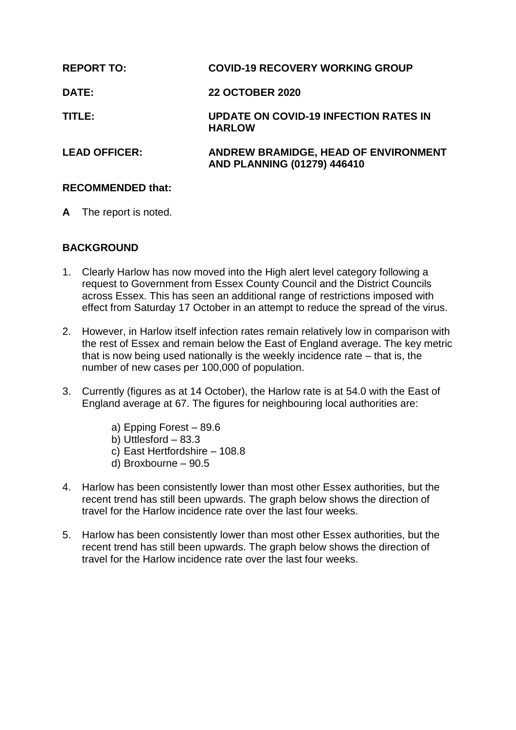| <b>REPORT TO:</b>    | <b>COVID-19 RECOVERY WORKING GROUP</b>                              |
|----------------------|---------------------------------------------------------------------|
| <b>DATE:</b>         | <b>22 OCTOBER 2020</b>                                              |
| TITLE:               | <b>UPDATE ON COVID-19 INFECTION RATES IN</b><br><b>HARLOW</b>       |
| <b>LEAD OFFICER:</b> | ANDREW BRAMIDGE, HEAD OF ENVIRONMENT<br>AND PLANNING (01279) 446410 |

# **RECOMMENDED that:**

**A** The report is noted.

# **BACKGROUND**

- 1. Clearly Harlow has now moved into the High alert level category following a request to Government from Essex County Council and the District Councils across Essex. This has seen an additional range of restrictions imposed with effect from Saturday 17 October in an attempt to reduce the spread of the virus.
- 2. However, in Harlow itself infection rates remain relatively low in comparison with the rest of Essex and remain below the East of England average. The key metric that is now being used nationally is the weekly incidence rate – that is, the number of new cases per 100,000 of population.
- 3. Currently (figures as at 14 October), the Harlow rate is at 54.0 with the East of England average at 67. The figures for neighbouring local authorities are:
	- a) Epping Forest 89.6
	- b) Uttlesford 83.3
	- c) East Hertfordshire 108.8
	- d) Broxbourne 90.5
- 4. Harlow has been consistently lower than most other Essex authorities, but the recent trend has still been upwards. The graph below shows the direction of travel for the Harlow incidence rate over the last four weeks.
- 5. Harlow has been consistently lower than most other Essex authorities, but the recent trend has still been upwards. The graph below shows the direction of travel for the Harlow incidence rate over the last four weeks.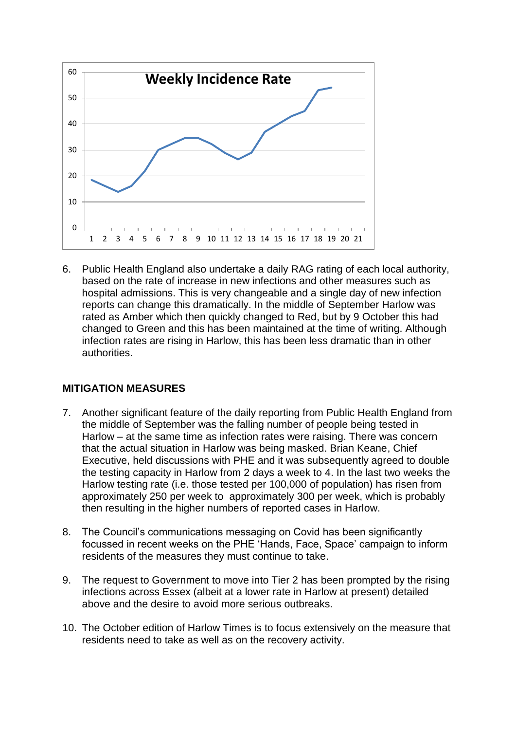

6. Public Health England also undertake a daily RAG rating of each local authority, based on the rate of increase in new infections and other measures such as hospital admissions. This is very changeable and a single day of new infection reports can change this dramatically. In the middle of September Harlow was rated as Amber which then quickly changed to Red, but by 9 October this had changed to Green and this has been maintained at the time of writing. Although infection rates are rising in Harlow, this has been less dramatic than in other authorities.

# **MITIGATION MEASURES**

- 7. Another significant feature of the daily reporting from Public Health England from the middle of September was the falling number of people being tested in Harlow – at the same time as infection rates were raising. There was concern that the actual situation in Harlow was being masked. Brian Keane, Chief Executive, held discussions with PHE and it was subsequently agreed to double the testing capacity in Harlow from 2 days a week to 4. In the last two weeks the Harlow testing rate (i.e. those tested per 100,000 of population) has risen from approximately 250 per week to approximately 300 per week, which is probably then resulting in the higher numbers of reported cases in Harlow.
- 8. The Council's communications messaging on Covid has been significantly focussed in recent weeks on the PHE 'Hands, Face, Space' campaign to inform residents of the measures they must continue to take.
- 9. The request to Government to move into Tier 2 has been prompted by the rising infections across Essex (albeit at a lower rate in Harlow at present) detailed above and the desire to avoid more serious outbreaks.
- 10. The October edition of Harlow Times is to focus extensively on the measure that residents need to take as well as on the recovery activity.